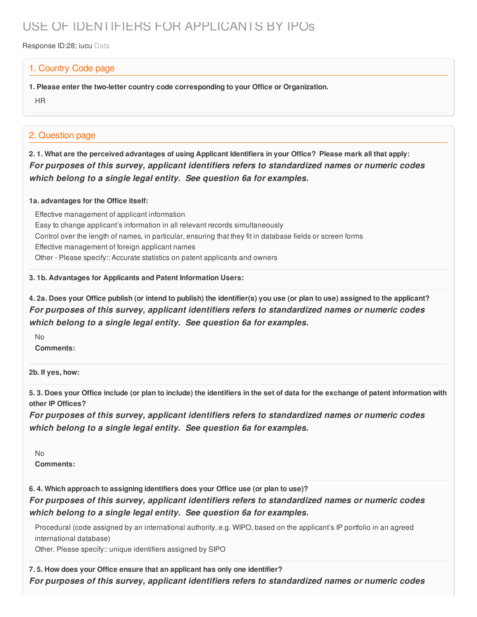# USE OF IDENTIFIERS FOR APPLICANTS BY IPOs

Response ID:28; iucu Data

### 1. Country Code page

**1. Please enter the two-letter country code corresponding to your Office or Organization.**

HR

## 2. Question page

2.1. What are the perceived advantages of using Applicant Identifiers in your Office? Please mark all that apply: *For purposes of this survey, applicant identifiers refers to standardized names or numeric codes which belong to a single legal entity. See question 6a for examples.*

#### **1a. advantages for the Office itself:**

Effective management of applicant information Easy to change applicant's information in all relevant records simultaneously Control over the length of names, in particular, ensuring that they fit in database fields or screen forms Effective management of foreign applicant names Other - Please specify:: Accurate statistics on patent applicants and owners

**3. 1b. Advantages for Applicants and Patent Information Users:**

4. 2a. Does your Office publish (or intend to publish) the identifier(s) you use (or plan to use) assigned to the applicant? *For purposes of this survey, applicant identifiers refers to standardized names or numeric codes which belong to a single legal entity. See question 6a for examples.*

 $N<sub>0</sub>$ 

**Comments:**

**2b. If yes, how:**

5.3. Does your Office include (or plan to include) the identifiers in the set of data for the exchange of patent information with **other IP Offices?**

*For purposes of this survey, applicant identifiers refers to standardized names or numeric codes which belong to a single legal entity. See question 6a for examples.*

No

**Comments:**

**6. 4. Which approach to assigning identifiers does your Office use (or plan to use)?**

*For purposes of this survey, applicant identifiers refers to standardized names or numeric codes which belong to a single legal entity. See question 6a for examples.*

Procedural (code assigned by an international authority, e.g. WIPO, based on the applicant's IP portfolio in an agreed international database)

Other. Please specify:: unique identifiers assigned by SIPO

#### **7. 5. How does your Office ensure that an applicant has only one identifier?**

*For purposes of this survey, applicant identifiers refers to standardized names or numeric codes*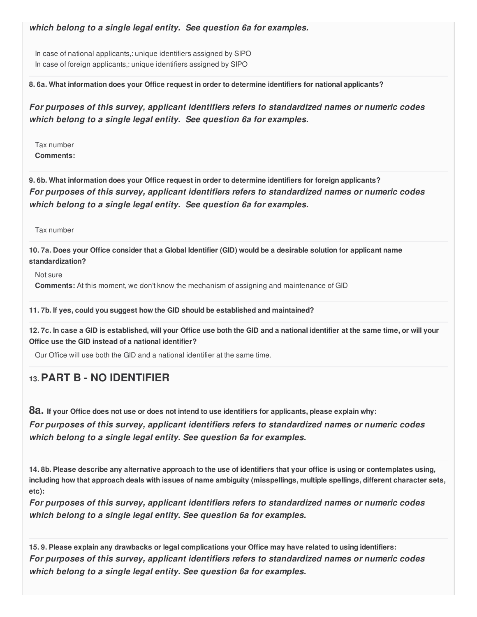*which belong to a single legal entity. See question 6a for examples.*

In case of national applicants,: unique identifiers assigned by SIPO In case of foreign applicants,: unique identifiers assigned by SIPO

**8. 6a. What information does your Office request in order to determine identifiers for national applicants?**

*For purposes of this survey, applicant identifiers refers to standardized names or numeric codes which belong to a single legal entity. See question 6a for examples.*

Tax number **Comments:**

**9. 6b. What information does your Office request in order to determine identifiers for foreign applicants?** *For purposes of this survey, applicant identifiers refers to standardized names or numeric codes which belong to a single legal entity. See question 6a for examples.*

Tax number

10.7a. Does your Office consider that a Global Identifier (GID) would be a desirable solution for applicant name **standardization?**

Not sure

**Comments:** At this moment, we don't know the mechanism of assigning and maintenance of GID

#### **11. 7b. If yes, could you suggest how the GID should be established and maintained?**

12.7c. In case a GID is established, will your Office use both the GID and a national identifier at the same time, or will your **Office use the GID instead of a national identifier?**

Our Office will use both the GID and a national identifier at the same time.

# **13.PART B - NO IDENTIFIER**

8a. If your Office does not use or does not intend to use identifiers for applicants, please explain why: *For purposes of this survey, applicant identifiers refers to standardized names or numeric codes which belong to a single legal entity. See question 6a for examples.*

14.8b. Please describe any alternative approach to the use of identifiers that your office is using or contemplates using, including how that approach deals with issues of name ambiguity (misspellings, multiple spellings, different character sets, **etc):**

*For purposes of this survey, applicant identifiers refers to standardized names or numeric codes which belong to a single legal entity. See question 6a for examples.*

15.9. Please explain any drawbacks or legal complications your Office may have related to using identifiers: *For purposes of this survey, applicant identifiers refers to standardized names or numeric codes which belong to a single legal entity. See question 6a for examples.*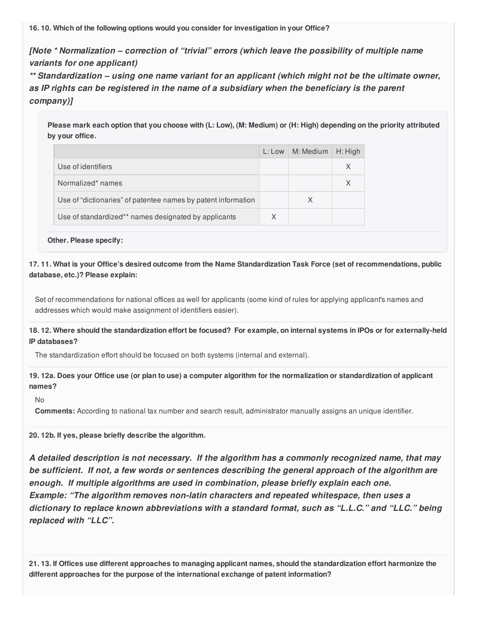**16. 10. Which of the following options would you consider for investigation in your Office?**

*[Note \* Normalization – correction of "trivial" errors (which leave the possibility of multiple name variants for one applicant)*

*\*\* Standardization – using one name variant for an applicant (which might not be the ultimate owner, as IP rights can be registered in the name of a subsidiary when the beneficiary is the parent company)]*

Please mark each option that you choose with (L: Low), (M: Medium) or (H: High) depending on the priority attributed **by your office.**

|                                                               | L: Low | M: Medium | $H:$ High |
|---------------------------------------------------------------|--------|-----------|-----------|
| Use of identifiers                                            |        |           |           |
| Normalized* names                                             |        |           |           |
| Use of "dictionaries" of patentee names by patent information |        | X         |           |
| Use of standardized** names designated by applicants          | X      |           |           |

**Other. Please specify:**

17.11. What is your Office's desired outcome from the Name Standardization Task Force (set of recommendations, public **database, etc.)? Please explain:**

Set of recommendations for national offices as well for applicants (some kind of rules for applying applicant's names and addresses which would make assignment of identifiers easier).

18.12. Where should the standardization effort be focused? For example, on internal systems in IPOs or for externally-held **IP databases?**

The standardization effort should be focused on both systems (internal and external).

19.12a. Does your Office use (or plan to use) a computer algorithm for the normalization or standardization of applicant **names?**

No

**Comments:** According to national tax number and search result, administrator manually assigns an unique identifier.

**20. 12b. If yes, please briefly describe the algorithm.**

*A detailed description is not necessary. If the algorithm has a commonly recognized name, that may be sufficient. If not, a few words or sentences describing the general approach of the algorithm are enough. If multiple algorithms are used in combination, please briefly explain each one. Example: "The algorithm removes non-latin characters and repeated whitespace, then uses a dictionary to replace known abbreviations with a standard format, such as "L.L.C." and "LLC." being replaced with "LLC".*

21.13. If Offices use different approaches to managing applicant names, should the standardization effort harmonize the **different approaches for the purpose of the international exchange of patent information?**